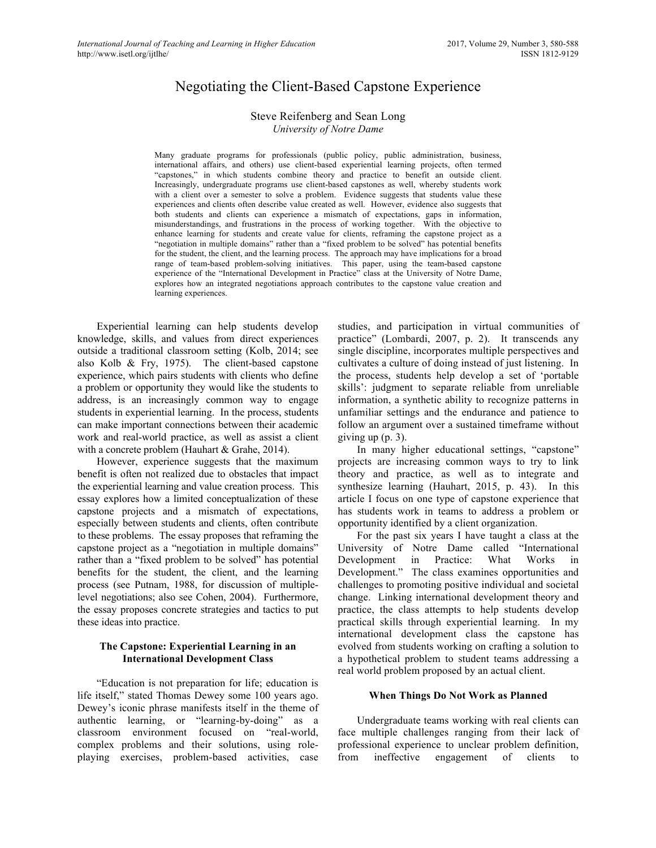# Negotiating the Client-Based Capstone Experience

### Steve Reifenberg and Sean Long *University of Notre Dame*

Many graduate programs for professionals (public policy, public administration, business, international affairs, and others) use client-based experiential learning projects, often termed "capstones," in which students combine theory and practice to benefit an outside client. Increasingly, undergraduate programs use client-based capstones as well, whereby students work with a client over a semester to solve a problem. Evidence suggests that students value these experiences and clients often describe value created as well. However, evidence also suggests that both students and clients can experience a mismatch of expectations, gaps in information, misunderstandings, and frustrations in the process of working together. With the objective to enhance learning for students and create value for clients, reframing the capstone project as a "negotiation in multiple domains" rather than a "fixed problem to be solved" has potential benefits for the student, the client, and the learning process. The approach may have implications for a broad range of team-based problem-solving initiatives. This paper, using the team-based capstone experience of the "International Development in Practice" class at the University of Notre Dame, explores how an integrated negotiations approach contributes to the capstone value creation and learning experiences.

Experiential learning can help students develop knowledge, skills, and values from direct experiences outside a traditional classroom setting (Kolb, 2014; see also Kolb & Fry, 1975). The client-based capstone experience, which pairs students with clients who define a problem or opportunity they would like the students to address, is an increasingly common way to engage students in experiential learning. In the process, students can make important connections between their academic work and real-world practice, as well as assist a client with a concrete problem (Hauhart & Grahe, 2014).

However, experience suggests that the maximum benefit is often not realized due to obstacles that impact the experiential learning and value creation process. This essay explores how a limited conceptualization of these capstone projects and a mismatch of expectations, especially between students and clients, often contribute to these problems. The essay proposes that reframing the capstone project as a "negotiation in multiple domains" rather than a "fixed problem to be solved" has potential benefits for the student, the client, and the learning process (see Putnam, 1988, for discussion of multiplelevel negotiations; also see Cohen, 2004). Furthermore, the essay proposes concrete strategies and tactics to put these ideas into practice.

### **The Capstone: Experiential Learning in an International Development Class**

"Education is not preparation for life; education is life itself," stated Thomas Dewey some 100 years ago. Dewey's iconic phrase manifests itself in the theme of authentic learning, or "learning-by-doing" as a classroom environment focused on "real-world, complex problems and their solutions, using roleplaying exercises, problem-based activities, case

studies, and participation in virtual communities of practice" (Lombardi, 2007, p. 2). It transcends any single discipline, incorporates multiple perspectives and cultivates a culture of doing instead of just listening. In the process, students help develop a set of 'portable skills': judgment to separate reliable from unreliable information, a synthetic ability to recognize patterns in unfamiliar settings and the endurance and patience to follow an argument over a sustained timeframe without giving up (p. 3).

In many higher educational settings, "capstone" projects are increasing common ways to try to link theory and practice, as well as to integrate and synthesize learning (Hauhart, 2015, p. 43). In this article I focus on one type of capstone experience that has students work in teams to address a problem or opportunity identified by a client organization.

For the past six years I have taught a class at the University of Notre Dame called "International Development in Practice: What Works in Development." The class examines opportunities and challenges to promoting positive individual and societal change. Linking international development theory and practice, the class attempts to help students develop practical skills through experiential learning. In my international development class the capstone has evolved from students working on crafting a solution to a hypothetical problem to student teams addressing a real world problem proposed by an actual client.

### **When Things Do Not Work as Planned**

Undergraduate teams working with real clients can face multiple challenges ranging from their lack of professional experience to unclear problem definition, from ineffective engagement of clients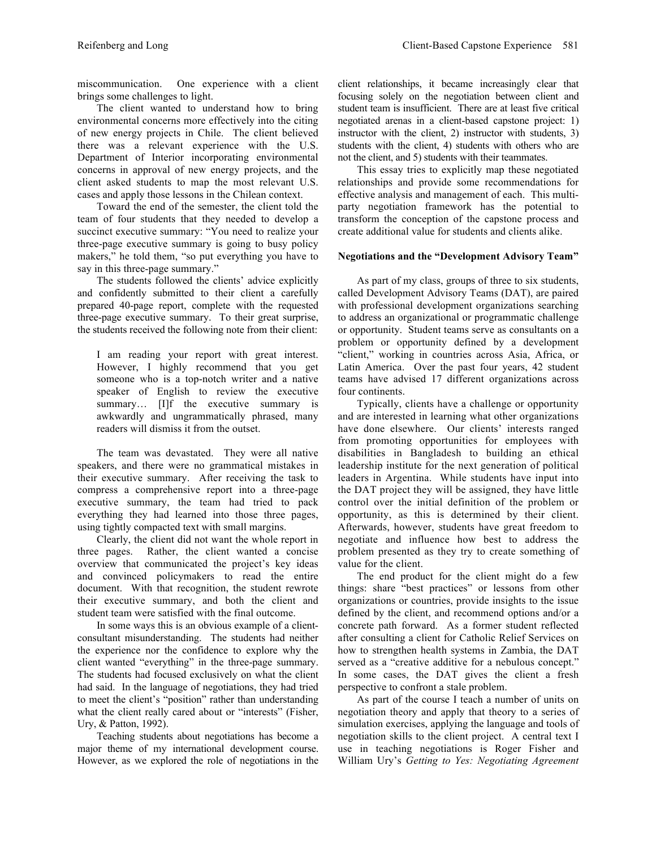miscommunication. One experience with a client brings some challenges to light.

The client wanted to understand how to bring environmental concerns more effectively into the citing of new energy projects in Chile. The client believed there was a relevant experience with the U.S. Department of Interior incorporating environmental concerns in approval of new energy projects, and the client asked students to map the most relevant U.S. cases and apply those lessons in the Chilean context.

Toward the end of the semester, the client told the team of four students that they needed to develop a succinct executive summary: "You need to realize your three-page executive summary is going to busy policy makers," he told them, "so put everything you have to say in this three-page summary."

The students followed the clients' advice explicitly and confidently submitted to their client a carefully prepared 40-page report, complete with the requested three-page executive summary. To their great surprise, the students received the following note from their client:

I am reading your report with great interest. However, I highly recommend that you get someone who is a top-notch writer and a native speaker of English to review the executive summary... [I]f the executive summary is awkwardly and ungrammatically phrased, many readers will dismiss it from the outset.

The team was devastated. They were all native speakers, and there were no grammatical mistakes in their executive summary. After receiving the task to compress a comprehensive report into a three-page executive summary, the team had tried to pack everything they had learned into those three pages, using tightly compacted text with small margins.

Clearly, the client did not want the whole report in three pages. Rather, the client wanted a concise overview that communicated the project's key ideas and convinced policymakers to read the entire document. With that recognition, the student rewrote their executive summary, and both the client and student team were satisfied with the final outcome.

In some ways this is an obvious example of a clientconsultant misunderstanding. The students had neither the experience nor the confidence to explore why the client wanted "everything" in the three-page summary. The students had focused exclusively on what the client had said. In the language of negotiations, they had tried to meet the client's "position" rather than understanding what the client really cared about or "interests" (Fisher, Ury, & Patton, 1992).

Teaching students about negotiations has become a major theme of my international development course. However, as we explored the role of negotiations in the client relationships, it became increasingly clear that focusing solely on the negotiation between client and student team is insufficient. There are at least five critical negotiated arenas in a client-based capstone project: 1) instructor with the client, 2) instructor with students, 3) students with the client, 4) students with others who are not the client, and 5) students with their teammates.

This essay tries to explicitly map these negotiated relationships and provide some recommendations for effective analysis and management of each. This multiparty negotiation framework has the potential to transform the conception of the capstone process and create additional value for students and clients alike.

### **Negotiations and the "Development Advisory Team"**

As part of my class, groups of three to six students, called Development Advisory Teams (DAT), are paired with professional development organizations searching to address an organizational or programmatic challenge or opportunity. Student teams serve as consultants on a problem or opportunity defined by a development "client," working in countries across Asia, Africa, or Latin America. Over the past four years, 42 student teams have advised 17 different organizations across four continents.

Typically, clients have a challenge or opportunity and are interested in learning what other organizations have done elsewhere. Our clients' interests ranged from promoting opportunities for employees with disabilities in Bangladesh to building an ethical leadership institute for the next generation of political leaders in Argentina. While students have input into the DAT project they will be assigned, they have little control over the initial definition of the problem or opportunity, as this is determined by their client. Afterwards, however, students have great freedom to negotiate and influence how best to address the problem presented as they try to create something of value for the client.

The end product for the client might do a few things: share "best practices" or lessons from other organizations or countries, provide insights to the issue defined by the client, and recommend options and/or a concrete path forward. As a former student reflected after consulting a client for Catholic Relief Services on how to strengthen health systems in Zambia, the DAT served as a "creative additive for a nebulous concept." In some cases, the DAT gives the client a fresh perspective to confront a stale problem.

As part of the course I teach a number of units on negotiation theory and apply that theory to a series of simulation exercises, applying the language and tools of negotiation skills to the client project. A central text I use in teaching negotiations is Roger Fisher and William Ury's *Getting to Yes: Negotiating Agreement*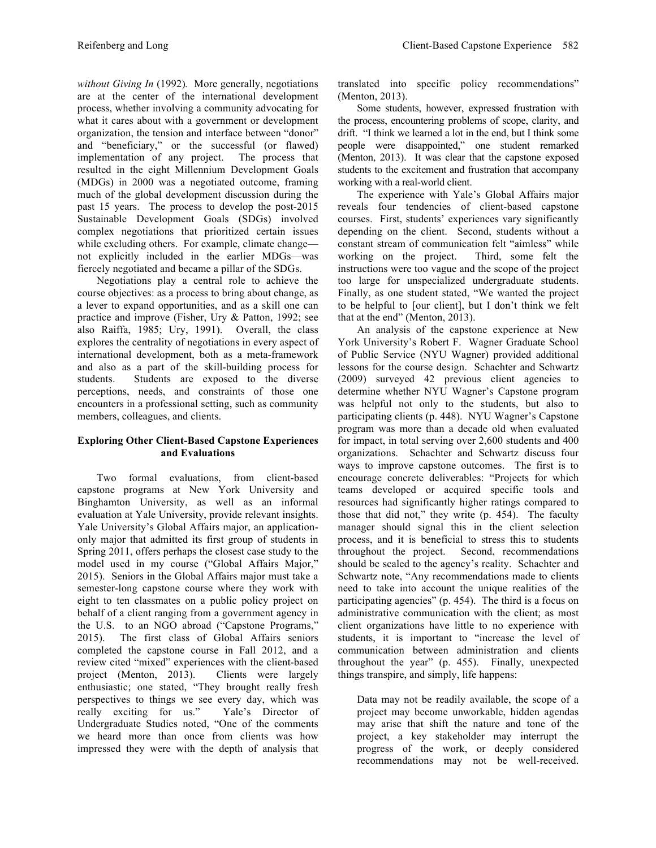*without Giving In* (1992)*.* More generally, negotiations are at the center of the international development process, whether involving a community advocating for what it cares about with a government or development organization, the tension and interface between "donor" and "beneficiary," or the successful (or flawed) implementation of any project. The process that resulted in the eight Millennium Development Goals (MDGs) in 2000 was a negotiated outcome, framing much of the global development discussion during the past 15 years. The process to develop the post-2015 Sustainable Development Goals (SDGs) involved complex negotiations that prioritized certain issues while excluding others. For example, climate change not explicitly included in the earlier MDGs—was fiercely negotiated and became a pillar of the SDGs.

Negotiations play a central role to achieve the course objectives: as a process to bring about change, as a lever to expand opportunities, and as a skill one can practice and improve (Fisher, Ury & Patton, 1992; see also Raiffa, 1985; Ury, 1991). Overall, the class explores the centrality of negotiations in every aspect of international development, both as a meta-framework and also as a part of the skill-building process for students. Students are exposed to the diverse perceptions, needs, and constraints of those one encounters in a professional setting, such as community members, colleagues, and clients.

# **Exploring Other Client-Based Capstone Experiences and Evaluations**

Two formal evaluations, from client-based capstone programs at New York University and Binghamton University, as well as an informal evaluation at Yale University, provide relevant insights. Yale University's Global Affairs major, an applicationonly major that admitted its first group of students in Spring 2011, offers perhaps the closest case study to the model used in my course ("Global Affairs Major," 2015). Seniors in the Global Affairs major must take a semester-long capstone course where they work with eight to ten classmates on a public policy project on behalf of a client ranging from a government agency in the U.S. to an NGO abroad ("Capstone Programs," 2015). The first class of Global Affairs seniors completed the capstone course in Fall 2012, and a review cited "mixed" experiences with the client-based project (Menton, 2013). Clients were largely enthusiastic; one stated, "They brought really fresh perspectives to things we see every day, which was really exciting for us." Yale's Director of Undergraduate Studies noted, "One of the comments we heard more than once from clients was how impressed they were with the depth of analysis that translated into specific policy recommendations" (Menton, 2013).

Some students, however, expressed frustration with the process, encountering problems of scope, clarity, and drift. "I think we learned a lot in the end, but I think some people were disappointed," one student remarked (Menton, 2013). It was clear that the capstone exposed students to the excitement and frustration that accompany working with a real-world client.

The experience with Yale's Global Affairs major reveals four tendencies of client-based capstone courses. First, students' experiences vary significantly depending on the client. Second, students without a constant stream of communication felt "aimless" while working on the project. Third, some felt the instructions were too vague and the scope of the project too large for unspecialized undergraduate students. Finally, as one student stated, "We wanted the project to be helpful to [our client], but I don't think we felt that at the end" (Menton, 2013).

An analysis of the capstone experience at New York University's Robert F. Wagner Graduate School of Public Service (NYU Wagner) provided additional lessons for the course design. Schachter and Schwartz (2009) surveyed 42 previous client agencies to determine whether NYU Wagner's Capstone program was helpful not only to the students, but also to participating clients (p. 448). NYU Wagner's Capstone program was more than a decade old when evaluated for impact, in total serving over 2,600 students and 400 organizations. Schachter and Schwartz discuss four ways to improve capstone outcomes. The first is to encourage concrete deliverables: "Projects for which teams developed or acquired specific tools and resources had significantly higher ratings compared to those that did not," they write (p. 454). The faculty manager should signal this in the client selection process, and it is beneficial to stress this to students throughout the project. Second, recommendations should be scaled to the agency's reality. Schachter and Schwartz note, "Any recommendations made to clients need to take into account the unique realities of the participating agencies" (p. 454). The third is a focus on administrative communication with the client; as most client organizations have little to no experience with students, it is important to "increase the level of communication between administration and clients throughout the year" (p. 455). Finally, unexpected things transpire, and simply, life happens:

Data may not be readily available, the scope of a project may become unworkable, hidden agendas may arise that shift the nature and tone of the project, a key stakeholder may interrupt the progress of the work, or deeply considered recommendations may not be well-received.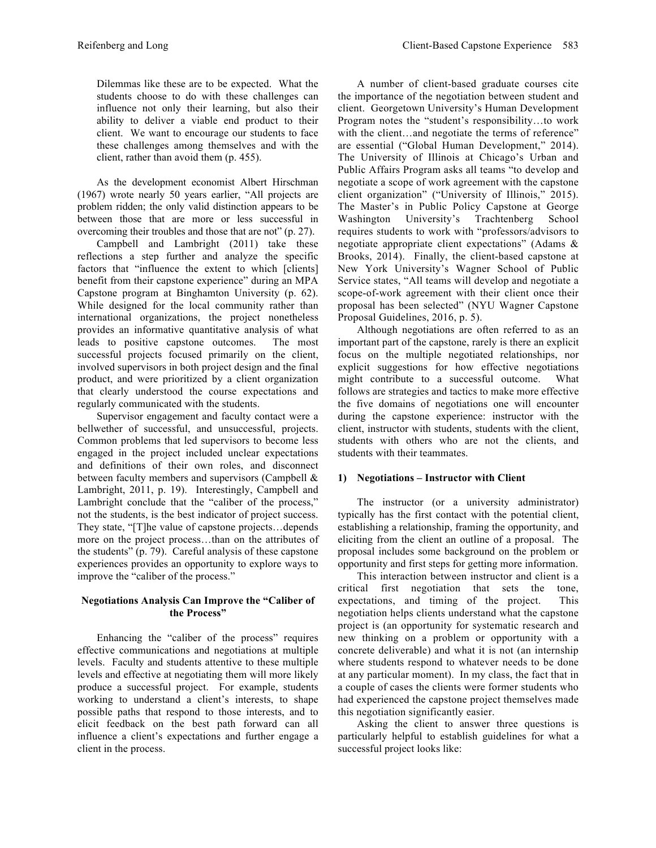Dilemmas like these are to be expected. What the students choose to do with these challenges can influence not only their learning, but also their ability to deliver a viable end product to their client. We want to encourage our students to face these challenges among themselves and with the client, rather than avoid them (p. 455).

As the development economist Albert Hirschman (1967) wrote nearly 50 years earlier, "All projects are problem ridden; the only valid distinction appears to be between those that are more or less successful in overcoming their troubles and those that are not" (p. 27).

Campbell and Lambright (2011) take these reflections a step further and analyze the specific factors that "influence the extent to which [clients] benefit from their capstone experience" during an MPA Capstone program at Binghamton University (p. 62). While designed for the local community rather than international organizations, the project nonetheless provides an informative quantitative analysis of what leads to positive capstone outcomes. The most successful projects focused primarily on the client, involved supervisors in both project design and the final product, and were prioritized by a client organization that clearly understood the course expectations and regularly communicated with the students.

Supervisor engagement and faculty contact were a bellwether of successful, and unsuccessful, projects. Common problems that led supervisors to become less engaged in the project included unclear expectations and definitions of their own roles, and disconnect between faculty members and supervisors (Campbell & Lambright, 2011, p. 19). Interestingly, Campbell and Lambright conclude that the "caliber of the process," not the students, is the best indicator of project success. They state, "[T]he value of capstone projects…depends more on the project process…than on the attributes of the students" (p. 79). Careful analysis of these capstone experiences provides an opportunity to explore ways to improve the "caliber of the process."

# **Negotiations Analysis Can Improve the "Caliber of the Process"**

Enhancing the "caliber of the process" requires effective communications and negotiations at multiple levels. Faculty and students attentive to these multiple levels and effective at negotiating them will more likely produce a successful project. For example, students working to understand a client's interests, to shape possible paths that respond to those interests, and to elicit feedback on the best path forward can all influence a client's expectations and further engage a client in the process.

A number of client-based graduate courses cite the importance of the negotiation between student and client. Georgetown University's Human Development Program notes the "student's responsibility…to work with the client...and negotiate the terms of reference" are essential ("Global Human Development," 2014). The University of Illinois at Chicago's Urban and Public Affairs Program asks all teams "to develop and negotiate a scope of work agreement with the capstone client organization" ("University of Illinois," 2015). The Master's in Public Policy Capstone at George Washington University's Trachtenberg School requires students to work with "professors/advisors to negotiate appropriate client expectations" (Adams & Brooks, 2014). Finally, the client-based capstone at New York University's Wagner School of Public Service states, "All teams will develop and negotiate a scope-of-work agreement with their client once their proposal has been selected" (NYU Wagner Capstone Proposal Guidelines, 2016, p. 5).

Although negotiations are often referred to as an important part of the capstone, rarely is there an explicit focus on the multiple negotiated relationships, nor explicit suggestions for how effective negotiations might contribute to a successful outcome. What follows are strategies and tactics to make more effective the five domains of negotiations one will encounter during the capstone experience: instructor with the client, instructor with students, students with the client, students with others who are not the clients, and students with their teammates.

# **1) Negotiations – Instructor with Client**

The instructor (or a university administrator) typically has the first contact with the potential client, establishing a relationship, framing the opportunity, and eliciting from the client an outline of a proposal. The proposal includes some background on the problem or opportunity and first steps for getting more information.

This interaction between instructor and client is a critical first negotiation that sets the tone, expectations, and timing of the project. This negotiation helps clients understand what the capstone project is (an opportunity for systematic research and new thinking on a problem or opportunity with a concrete deliverable) and what it is not (an internship where students respond to whatever needs to be done at any particular moment). In my class, the fact that in a couple of cases the clients were former students who had experienced the capstone project themselves made this negotiation significantly easier.

Asking the client to answer three questions is particularly helpful to establish guidelines for what a successful project looks like: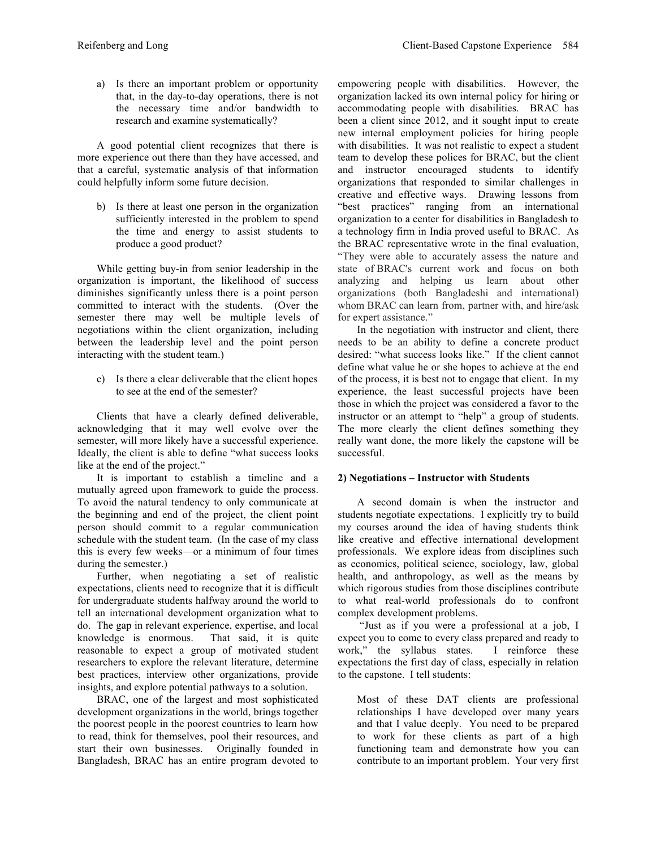a) Is there an important problem or opportunity that, in the day-to-day operations, there is not the necessary time and/or bandwidth to research and examine systematically?

A good potential client recognizes that there is more experience out there than they have accessed, and that a careful, systematic analysis of that information could helpfully inform some future decision.

b) Is there at least one person in the organization sufficiently interested in the problem to spend the time and energy to assist students to produce a good product?

While getting buy-in from senior leadership in the organization is important, the likelihood of success diminishes significantly unless there is a point person committed to interact with the students. (Over the semester there may well be multiple levels of negotiations within the client organization, including between the leadership level and the point person interacting with the student team.)

c) Is there a clear deliverable that the client hopes to see at the end of the semester?

Clients that have a clearly defined deliverable, acknowledging that it may well evolve over the semester, will more likely have a successful experience. Ideally, the client is able to define "what success looks like at the end of the project."

It is important to establish a timeline and a mutually agreed upon framework to guide the process. To avoid the natural tendency to only communicate at the beginning and end of the project, the client point person should commit to a regular communication schedule with the student team. (In the case of my class this is every few weeks—or a minimum of four times during the semester.)

Further, when negotiating a set of realistic expectations, clients need to recognize that it is difficult for undergraduate students halfway around the world to tell an international development organization what to do. The gap in relevant experience, expertise, and local knowledge is enormous. That said, it is quite reasonable to expect a group of motivated student researchers to explore the relevant literature, determine best practices, interview other organizations, provide insights, and explore potential pathways to a solution.

BRAC, one of the largest and most sophisticated development organizations in the world, brings together the poorest people in the poorest countries to learn how to read, think for themselves, pool their resources, and start their own businesses. Originally founded in Bangladesh, BRAC has an entire program devoted to empowering people with disabilities. However, the organization lacked its own internal policy for hiring or accommodating people with disabilities. BRAC has been a client since 2012, and it sought input to create new internal employment policies for hiring people with disabilities. It was not realistic to expect a student team to develop these polices for BRAC, but the client and instructor encouraged students to identify organizations that responded to similar challenges in creative and effective ways. Drawing lessons from "best practices" ranging from an international organization to a center for disabilities in Bangladesh to a technology firm in India proved useful to BRAC. As the BRAC representative wrote in the final evaluation, "They were able to accurately assess the nature and state of BRAC's current work and focus on both analyzing and helping us learn about other organizations (both Bangladeshi and international) whom BRAC can learn from, partner with, and hire/ask for expert assistance."

In the negotiation with instructor and client, there needs to be an ability to define a concrete product desired: "what success looks like." If the client cannot define what value he or she hopes to achieve at the end of the process, it is best not to engage that client. In my experience, the least successful projects have been those in which the project was considered a favor to the instructor or an attempt to "help" a group of students. The more clearly the client defines something they really want done, the more likely the capstone will be successful.

# **2) Negotiations – Instructor with Students**

A second domain is when the instructor and students negotiate expectations. I explicitly try to build my courses around the idea of having students think like creative and effective international development professionals. We explore ideas from disciplines such as economics, political science, sociology, law, global health, and anthropology, as well as the means by which rigorous studies from those disciplines contribute to what real-world professionals do to confront complex development problems.

"Just as if you were a professional at a job, I expect you to come to every class prepared and ready to work," the syllabus states. I reinforce these expectations the first day of class, especially in relation to the capstone. I tell students:

Most of these DAT clients are professional relationships I have developed over many years and that I value deeply. You need to be prepared to work for these clients as part of a high functioning team and demonstrate how you can contribute to an important problem. Your very first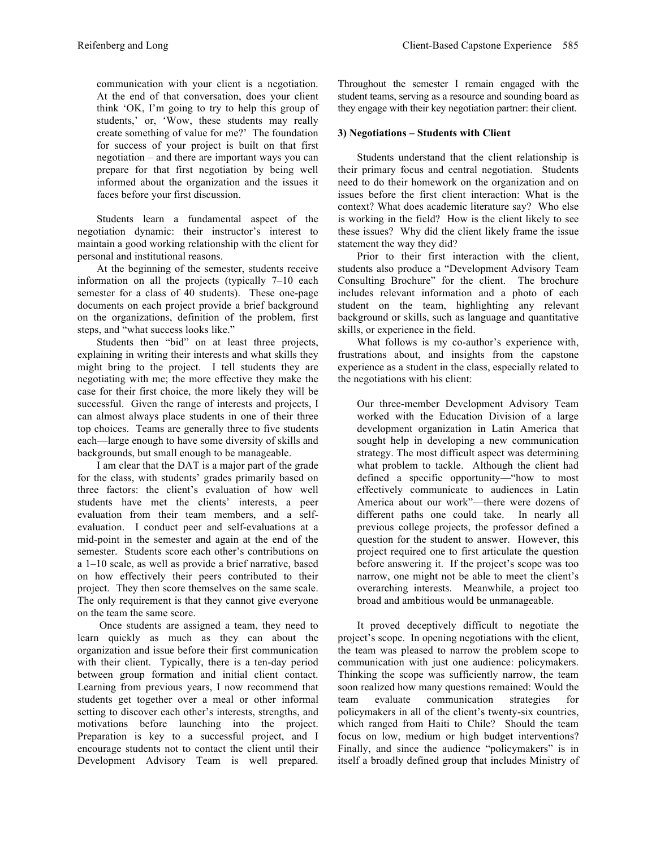communication with your client is a negotiation. At the end of that conversation, does your client think 'OK, I'm going to try to help this group of students,' or, 'Wow, these students may really create something of value for me?' The foundation for success of your project is built on that first negotiation – and there are important ways you can prepare for that first negotiation by being well informed about the organization and the issues it faces before your first discussion.

Students learn a fundamental aspect of the negotiation dynamic: their instructor's interest to maintain a good working relationship with the client for personal and institutional reasons.

At the beginning of the semester, students receive information on all the projects (typically 7–10 each semester for a class of 40 students). These one-page documents on each project provide a brief background on the organizations, definition of the problem, first steps, and "what success looks like."

Students then "bid" on at least three projects, explaining in writing their interests and what skills they might bring to the project. I tell students they are negotiating with me; the more effective they make the case for their first choice, the more likely they will be successful. Given the range of interests and projects, I can almost always place students in one of their three top choices. Teams are generally three to five students each—large enough to have some diversity of skills and backgrounds, but small enough to be manageable.

I am clear that the DAT is a major part of the grade for the class, with students' grades primarily based on three factors: the client's evaluation of how well students have met the clients' interests, a peer evaluation from their team members, and a selfevaluation. I conduct peer and self-evaluations at a mid-point in the semester and again at the end of the semester. Students score each other's contributions on a 1–10 scale, as well as provide a brief narrative, based on how effectively their peers contributed to their project. They then score themselves on the same scale. The only requirement is that they cannot give everyone on the team the same score.

Once students are assigned a team, they need to learn quickly as much as they can about the organization and issue before their first communication with their client. Typically, there is a ten-day period between group formation and initial client contact. Learning from previous years, I now recommend that students get together over a meal or other informal setting to discover each other's interests, strengths, and motivations before launching into the project. Preparation is key to a successful project, and I encourage students not to contact the client until their Development Advisory Team is well prepared.

Throughout the semester I remain engaged with the student teams, serving as a resource and sounding board as they engage with their key negotiation partner: their client.

# **3) Negotiations – Students with Client**

Students understand that the client relationship is their primary focus and central negotiation. Students need to do their homework on the organization and on issues before the first client interaction: What is the context? What does academic literature say? Who else is working in the field? How is the client likely to see these issues? Why did the client likely frame the issue statement the way they did?

Prior to their first interaction with the client, students also produce a "Development Advisory Team Consulting Brochure" for the client. The brochure includes relevant information and a photo of each student on the team, highlighting any relevant background or skills, such as language and quantitative skills, or experience in the field.

What follows is my co-author's experience with, frustrations about, and insights from the capstone experience as a student in the class, especially related to the negotiations with his client:

Our three-member Development Advisory Team worked with the Education Division of a large development organization in Latin America that sought help in developing a new communication strategy. The most difficult aspect was determining what problem to tackle. Although the client had defined a specific opportunity—"how to most effectively communicate to audiences in Latin America about our work"—there were dozens of different paths one could take. In nearly all previous college projects, the professor defined a question for the student to answer. However, this project required one to first articulate the question before answering it. If the project's scope was too narrow, one might not be able to meet the client's overarching interests. Meanwhile, a project too broad and ambitious would be unmanageable.

It proved deceptively difficult to negotiate the project's scope. In opening negotiations with the client, the team was pleased to narrow the problem scope to communication with just one audience: policymakers. Thinking the scope was sufficiently narrow, the team soon realized how many questions remained: Would the team evaluate communication strategies for policymakers in all of the client's twenty-six countries, which ranged from Haiti to Chile? Should the team focus on low, medium or high budget interventions? Finally, and since the audience "policymakers" is in itself a broadly defined group that includes Ministry of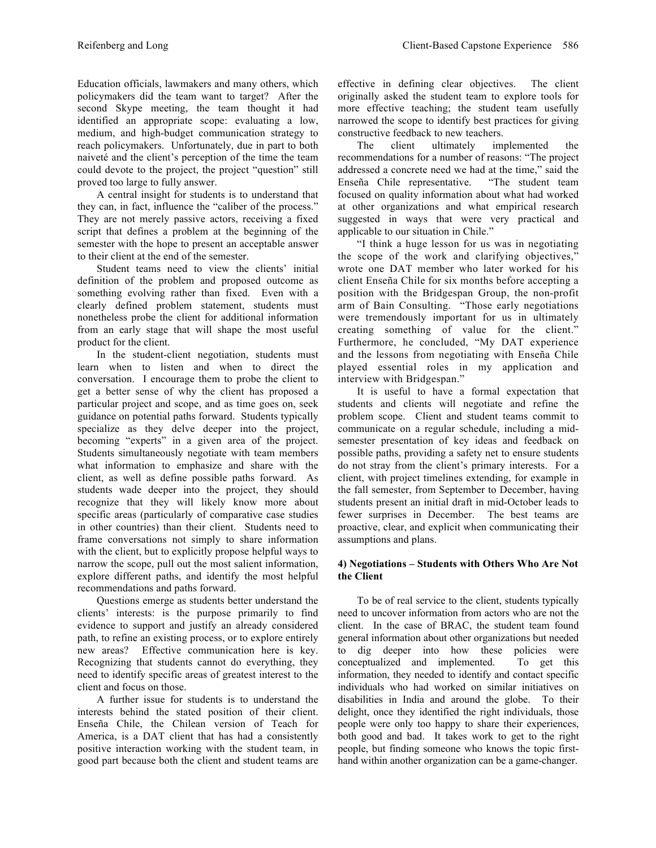Education officials, lawmakers and many others, which policymakers did the team want to target? After the second Skype meeting, the team thought it had identified an appropriate scope: evaluating a low, medium, and high-budget communication strategy to reach policymakers. Unfortunately, due in part to both naiveté and the client's perception of the time the team could devote to the project, the project "question" still proved too large to fully answer.

A central insight for students is to understand that they can, in fact, influence the "caliber of the process." They are not merely passive actors, receiving a fixed script that defines a problem at the beginning of the semester with the hope to present an acceptable answer to their client at the end of the semester.

Student teams need to view the clients' initial definition of the problem and proposed outcome as something evolving rather than fixed. Even with a clearly defined problem statement, students must nonetheless probe the client for additional information from an early stage that will shape the most useful product for the client.

In the student-client negotiation, students must learn when to listen and when to direct the conversation. I encourage them to probe the client to get a better sense of why the client has proposed a particular project and scope, and as time goes on, seek guidance on potential paths forward. Students typically specialize as they delve deeper into the project, becoming "experts" in a given area of the project. Students simultaneously negotiate with team members what information to emphasize and share with the client, as well as define possible paths forward. As students wade deeper into the project, they should recognize that they will likely know more about specific areas (particularly of comparative case studies in other countries) than their client. Students need to frame conversations not simply to share information with the client, but to explicitly propose helpful ways to narrow the scope, pull out the most salient information, explore different paths, and identify the most helpful recommendations and paths forward.

Questions emerge as students better understand the clients' interests: is the purpose primarily to find evidence to support and justify an already considered path, to refine an existing process, or to explore entirely new areas? Effective communication here is key. Recognizing that students cannot do everything, they need to identify specific areas of greatest interest to the client and focus on those.

A further issue for students is to understand the interests behind the stated position of their client. Enseña Chile, the Chilean version of Teach for America, is a DAT client that has had a consistently positive interaction working with the student team, in good part because both the client and student teams are effective in defining clear objectives. The client originally asked the student team to explore tools for more effective teaching; the student team usefully narrowed the scope to identify best practices for giving constructive feedback to new teachers.

The client ultimately implemented the recommendations for a number of reasons: "The project addressed a concrete need we had at the time," said the Enseña Chile representative. "The student team focused on quality information about what had worked at other organizations and what empirical research suggested in ways that were very practical and applicable to our situation in Chile."

"I think a huge lesson for us was in negotiating the scope of the work and clarifying objectives," wrote one DAT member who later worked for his client Enseña Chile for six months before accepting a position with the Bridgespan Group, the non-profit arm of Bain Consulting. "Those early negotiations were tremendously important for us in ultimately creating something of value for the client." Furthermore, he concluded, "My DAT experience and the lessons from negotiating with Enseña Chile played essential roles in my application and interview with Bridgespan."

It is useful to have a formal expectation that students and clients will negotiate and refine the problem scope. Client and student teams commit to communicate on a regular schedule, including a midsemester presentation of key ideas and feedback on possible paths, providing a safety net to ensure students do not stray from the client's primary interests. For a client, with project timelines extending, for example in the fall semester, from September to December, having students present an initial draft in mid-October leads to fewer surprises in December. The best teams are proactive, clear, and explicit when communicating their assumptions and plans.

# **4) Negotiations – Students with Others Who Are Not the Client**

To be of real service to the client, students typically need to uncover information from actors who are not the client. In the case of BRAC, the student team found general information about other organizations but needed to dig deeper into how these policies were conceptualized and implemented. To get this information, they needed to identify and contact specific individuals who had worked on similar initiatives on disabilities in India and around the globe. To their delight, once they identified the right individuals, those people were only too happy to share their experiences, both good and bad. It takes work to get to the right people, but finding someone who knows the topic firsthand within another organization can be a game-changer.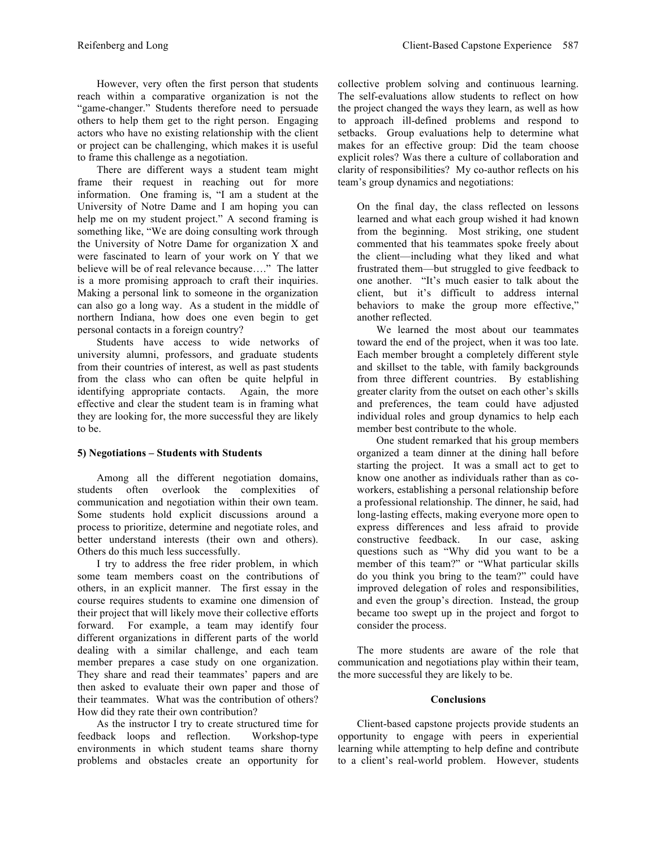However, very often the first person that students reach within a comparative organization is not the "game-changer." Students therefore need to persuade others to help them get to the right person. Engaging actors who have no existing relationship with the client or project can be challenging, which makes it is useful to frame this challenge as a negotiation.

There are different ways a student team might frame their request in reaching out for more information. One framing is, "I am a student at the University of Notre Dame and I am hoping you can help me on my student project." A second framing is something like, "We are doing consulting work through the University of Notre Dame for organization X and were fascinated to learn of your work on Y that we believe will be of real relevance because…." The latter is a more promising approach to craft their inquiries. Making a personal link to someone in the organization can also go a long way. As a student in the middle of northern Indiana, how does one even begin to get personal contacts in a foreign country?

Students have access to wide networks of university alumni, professors, and graduate students from their countries of interest, as well as past students from the class who can often be quite helpful in identifying appropriate contacts. Again, the more identifying appropriate contacts. effective and clear the student team is in framing what they are looking for, the more successful they are likely to be.

### **5) Negotiations – Students with Students**

Among all the different negotiation domains, students often overlook the complexities of communication and negotiation within their own team. Some students hold explicit discussions around a process to prioritize, determine and negotiate roles, and better understand interests (their own and others). Others do this much less successfully.

I try to address the free rider problem, in which some team members coast on the contributions of others, in an explicit manner. The first essay in the course requires students to examine one dimension of their project that will likely move their collective efforts forward. For example, a team may identify four different organizations in different parts of the world dealing with a similar challenge, and each team member prepares a case study on one organization. They share and read their teammates' papers and are then asked to evaluate their own paper and those of their teammates. What was the contribution of others? How did they rate their own contribution?

As the instructor I try to create structured time for feedback loops and reflection. Workshop-type environments in which student teams share thorny problems and obstacles create an opportunity for collective problem solving and continuous learning. The self-evaluations allow students to reflect on how the project changed the ways they learn, as well as how to approach ill-defined problems and respond to setbacks. Group evaluations help to determine what makes for an effective group: Did the team choose explicit roles? Was there a culture of collaboration and clarity of responsibilities? My co-author reflects on his team's group dynamics and negotiations:

On the final day, the class reflected on lessons learned and what each group wished it had known from the beginning. Most striking, one student commented that his teammates spoke freely about the client—including what they liked and what frustrated them—but struggled to give feedback to one another. "It's much easier to talk about the client, but it's difficult to address internal behaviors to make the group more effective," another reflected.

We learned the most about our teammates toward the end of the project, when it was too late. Each member brought a completely different style and skillset to the table, with family backgrounds from three different countries. By establishing greater clarity from the outset on each other's skills and preferences, the team could have adjusted individual roles and group dynamics to help each member best contribute to the whole.

One student remarked that his group members organized a team dinner at the dining hall before starting the project. It was a small act to get to know one another as individuals rather than as coworkers, establishing a personal relationship before a professional relationship. The dinner, he said, had long-lasting effects, making everyone more open to express differences and less afraid to provide constructive feedback. In our case, asking questions such as "Why did you want to be a member of this team?" or "What particular skills do you think you bring to the team?" could have improved delegation of roles and responsibilities, and even the group's direction. Instead, the group became too swept up in the project and forgot to consider the process.

The more students are aware of the role that communication and negotiations play within their team, the more successful they are likely to be.

### **Conclusions**

Client-based capstone projects provide students an opportunity to engage with peers in experiential learning while attempting to help define and contribute to a client's real-world problem. However, students